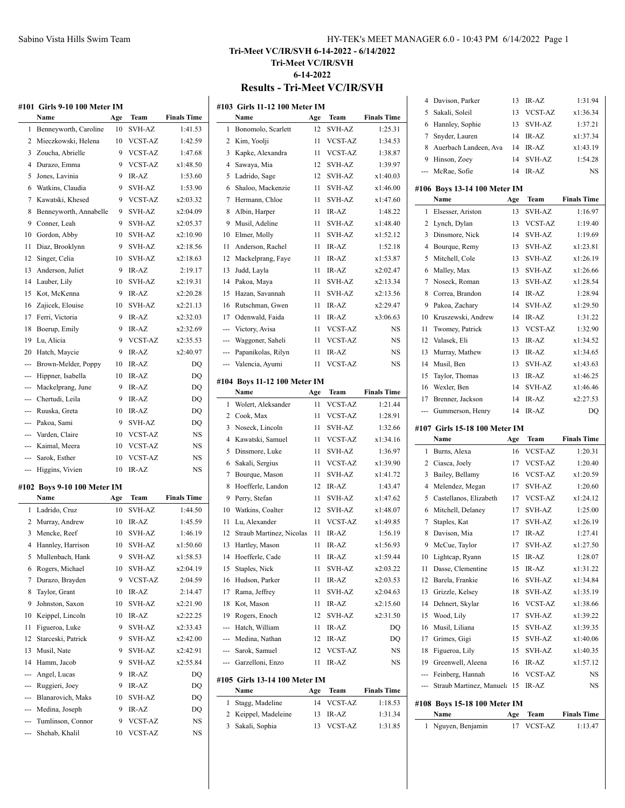# **Tri-Meet VC/IR/SVH 6-14-2022 - 6/14/2022 Tri-Meet VC/IR/SVH 6-14-2022 Results - Tri-Meet VC/IR/SVH**

|                | #101 Girls 9-10 100 Meter IM        |           |                                |                               |
|----------------|-------------------------------------|-----------|--------------------------------|-------------------------------|
|                | Name                                | Age       | Team                           | <b>Finals Time</b>            |
| 1              | Benneyworth, Caroline               | 10        | SVH-AZ                         | 1:41.53                       |
| 2              | Mieczkowski, Helena                 | 10        | VCST-AZ                        | 1:42.59                       |
| 3              | Zoucha, Abrielle                    | 9         | <b>VCST-AZ</b>                 | 1:47.68                       |
| 4              | Durazo, Emma                        | 9         | <b>VCST-AZ</b>                 | x1:48.50                      |
| 5              | Jones, Lavinia                      | 9         | IR-AZ                          | 1:53.60                       |
| 6              | Watkins, Claudia                    | 9         | <b>SVH-AZ</b>                  | 1:53.90                       |
| 7              | Kawatski, Khesed                    | 9         | <b>VCST-AZ</b>                 | x2:03.32                      |
| 8              | Benneyworth, Annabelle              | 9         | <b>SVH-AZ</b>                  | x2:04.09                      |
| 9              | Conner, Leah                        | 9         | <b>SVH-AZ</b>                  | x2:05.37                      |
| 10             | Gordon, Abby                        | 10        | <b>SVH-AZ</b>                  | x2:10.90                      |
| 11             | Diaz, Brooklynn                     | 9         | <b>SVH-AZ</b>                  | x2:18.56                      |
| 12             | Singer, Celia                       | 10        | <b>SVH-AZ</b>                  | x2:18.63                      |
| 13             | Anderson, Juliet                    | 9         | IR-AZ                          | 2:19.17                       |
| 14             | Lauber, Lily                        | 10        | <b>SVH-AZ</b>                  | x2:19.31                      |
| 15             | Kot, McKenna                        | 9         | IR-AZ                          | x2:20.28                      |
| 16             | Zajicek, Elouise                    | 10        | <b>SVH-AZ</b>                  | x2:21.13                      |
| 17             | Ferri, Victoria                     | 9         | IR-AZ                          | x2:32.03                      |
| 18             | Boerup, Emily                       | 9         | IR-AZ                          | x2:32.69                      |
| 19             | Lu, Alicia                          | 9         | <b>VCST-AZ</b>                 | x2:35.53                      |
| 20             | Hatch, Maycie                       | 9         | IR-AZ                          | x2:40.97                      |
| ---            | Brown-Melder, Poppy                 | 10        | IR-AZ                          | DQ                            |
| ---            | Hippner, Isabella                   | 10        | IR-AZ                          | DQ                            |
| ---            | Mackelprang, June                   | 9         | IR-AZ                          | DQ                            |
| ---            | Chertudi, Leila                     | 9         | IR-AZ                          | DQ                            |
| $\overline{a}$ | Ruuska, Greta                       | 10        | IR-AZ                          | DQ                            |
| ---            | Pakoa, Sami                         | 9         | SVH-AZ                         | DQ                            |
| ---            | Varden, Claire                      | 10        | VCST-AZ                        | NS                            |
| $\overline{a}$ | Kaimal, Meera                       | 10        | VCST-AZ                        | NS                            |
| ---            | Sarok, Esther                       | 10        | VCST-AZ                        | NS                            |
| ---            | Higgins, Vivien                     | 10        | IR-AZ                          | NS                            |
|                |                                     |           |                                |                               |
|                | #102 Boys 9-10 100 Meter IM<br>Name |           | Team                           |                               |
| 1              | Ladrido, Cruz                       | Age<br>10 | <b>SVH-AZ</b>                  | <b>Finals Time</b><br>1:44.50 |
| 2              |                                     |           |                                |                               |
|                | Murray, Andrew                      | 10        | IR-AZ                          | 1:45.59                       |
| 3              | Mencke, Reef                        | 10        | <b>SVH-AZ</b><br><b>SVH-AZ</b> | 1:46.19                       |
| 4              | Hannley, Harrison                   | 10        |                                | x1:50.60                      |
| 5              | Mullenbach, Hank                    | 9         | SVH-AZ                         | x1:58.53                      |
| 6              | Rogers, Michael<br>Durazo, Brayden  | 10        | SVH-AZ<br><b>VCST-AZ</b>       | x2:04.19                      |
| 7              |                                     | 9         |                                | 2:04.59                       |
| 8              | Taylor, Grant                       | 10        | IR-AZ                          | 2:14.47                       |
| 9              | Johnston, Saxon                     | 10        | SVH-AZ                         | x2:21.90                      |
| 10             | Keippel, Lincoln                    | 10        | IR-AZ                          | x2:22.25                      |
| 11             | Figueroa, Luke                      | 9         | SVH-AZ                         | x2:33.43                      |
| 12             | Starceski, Patrick                  | 9         | SVH-AZ                         | x2:42.00                      |
| 13             | Musil, Nate                         | 9         | SVH-AZ                         | x2:42.91                      |
| 14             | Hamm, Jacob                         | 9         | <b>SVH-AZ</b>                  | x2:55.84                      |
| ---            | Angel, Lucas                        | 9         | IR-AZ                          | DO                            |
| ---            | Ruggieri, Joey                      | 9         | IR-AZ                          | DQ                            |
| ---            | Blanarovich, Maks                   | 10        | SVH-AZ                         | DQ                            |
| ---            | Medina, Joseph                      | 9         | IR-AZ                          | DQ                            |
| ---            | Tumlinson, Connor                   | 9         | VCST-AZ                        | NS                            |
|                | Shehab, Khalil                      | 10        | VCST-AZ                        | NS                            |

|     | #103 Girls 11-12 100 Meter IM         |     |                |                    |
|-----|---------------------------------------|-----|----------------|--------------------|
|     | Name                                  | Age | Team           | <b>Finals Time</b> |
| 1   | Bonomolo, Scarlett                    | 12  | <b>SVH-AZ</b>  | 1:25.31            |
| 2   | Kim, Yoolji                           | 11  | <b>VCST-AZ</b> | 1:34.53            |
| 3   | Kapke, Alexandra                      | 11  | <b>VCST-AZ</b> | 1:38.87            |
| 4   | Sawaya, Mia                           | 12  | SVH-AZ         | 1:39.97            |
| 5   | Ladrido, Sage                         | 12  | SVH-AZ         | x1:40.03           |
| 6   | Shaloo, Mackenzie                     | 11  | SVH-AZ         | x1:46.00           |
| 7   | Hermann, Chloe                        | 11  | <b>SVH-AZ</b>  | x1:47.60           |
| 8   | Albin, Harper                         | 11  | IR-AZ          | 1:48.22            |
| 9   | Musil, Adeline                        | 11  | SVH-AZ         | x1:48.40           |
| 10  | Elmer, Molly                          | 11  | <b>SVH-AZ</b>  | x1:52.12           |
| 11  | Anderson, Rachel                      | 11  | IR-AZ          | 1:52.18            |
| 12  | Mackelprang, Faye                     | 11  | IR-AZ          | x1:53.87           |
| 13  | Judd, Layla                           | 11  | IR-AZ          | x2:02.47           |
| 14  | Pakoa, Maya                           | 11  | SVH-AZ         | x2:13.34           |
| 15  | Hazan, Savannah                       | 11  | SVH-AZ         | x2:13.56           |
| 16  | Rutschman, Gwen                       | 11  | IR-AZ          | x2:29.47           |
| 17  | Odenwald, Faida                       | 11  | IR-AZ          | x3:06.63           |
| --- | Victory, Avisa                        | 11  | <b>VCST-AZ</b> | NS                 |
| --- | Waggoner, Saheli                      | 11  | <b>VCST-AZ</b> | NS                 |
| --- | Papanikolas, Rilyn                    | 11  | IR-AZ          | NS                 |
| --- | Valencia, Ayumi                       | 11  | VCST-AZ        | <b>NS</b>          |
|     |                                       |     |                |                    |
|     | #104 Boys 11-12 100 Meter IM          |     |                |                    |
|     | Name                                  | Age | Team           | <b>Finals Time</b> |
| 1   | Wolert, Aleksander                    | 11  | VCST-AZ        | 1:21.44            |
| 2   | Cook, Max                             | 11  | VCST-AZ        | 1:28.91            |
| 3   | Noseck, Lincoln                       | 11  | SVH-AZ         | 1:32.66            |
| 4   | Kawatski, Samuel                      | 11  | <b>VCST-AZ</b> | x1:34.16           |
| 5   | Dinsmore, Luke                        | 11  | <b>SVH-AZ</b>  | 1:36.97            |
| 6   | Sakali, Sergius                       | 11  | <b>VCST-AZ</b> | x1:39.90           |
| 7   | Bourque, Mason                        | 11  | <b>SVH-AZ</b>  | x1:41.72           |
| 8   | Hoefferle, Landon                     | 12  | IR-AZ          | 1:43.47            |
| 9   | Perry, Stefan                         | 11  | <b>SVH-AZ</b>  | x1:47.62           |
| 10  | Watkins, Coalter                      | 12  | SVH-AZ         | x1:48.07           |
| 11  | Lu, Alexander                         | 11  | <b>VCST-AZ</b> | x1:49.85           |
| 12  | Straub Martinez, Nicolas              | 11  | IR-AZ          | 1:56.19            |
| 13  | Hartley, Mason                        | 11  | IR-AZ          | x1:56.93           |
| 14  | Hoefferle, Cade                       | 11  | IR-AZ          | x1:59.44           |
| 15  | Staples, Nick                         | 11  | <b>SVH-AZ</b>  | x2:03.22           |
| 16  | Hudson, Parker                        | 11  | IR-AZ          | x2:03.53           |
| 17  | Rama, Jeffrey                         | 11  | <b>SVH-AZ</b>  | x2:04.63           |
| 18  | Kot, Mason                            | 11  | $IR-AZ$        | x2:15.60           |
| 19  | Rogers, Enoch                         | 12  | <b>SVH-AZ</b>  | x2:31.50           |
| --- | Hatch, William                        | 11  | IR-AZ          | DQ                 |
| --- | Medina. Nathan                        | 12  | IR-AZ          | DQ                 |
| --- | Sarok, Samuel                         | 12  | VCST-AZ        | NS                 |
| --- | Garzelloni, Enzo                      | 11  | IR-AZ          | NS                 |
|     |                                       |     |                |                    |
|     | #105 Girls 13-14 100 Meter IM<br>Name | Age | Team           | <b>Finals Time</b> |
| 1   | Stagg, Madeline                       | 14  | VCST-AZ        | 1:18.53            |
| 2   | Keippel, Madeleine                    | 13  | IR-AZ          | 1:31.34            |
| 3   | Sakali, Sophia                        | 13  | <b>VCST-AZ</b> | 1:31.85            |
|     |                                       |     |                |                    |

| 4   | Davison, Parker                      | 13  | IR-AZ          | 1:31.94            |
|-----|--------------------------------------|-----|----------------|--------------------|
| 5   | Sakali, Soleil                       | 13  | <b>VCST-AZ</b> | x1:36.34           |
| 6   | Hannley, Sophie                      | 13  | <b>SVH-AZ</b>  | 1:37.21            |
| 7   | Snyder, Lauren                       | 14  | IR-AZ          | x1:37.34           |
| 8   | Auerbach Landeen, Ava                | 14  | IR-AZ          | x1:43.19           |
| 9   | Hinson, Zoey                         | 14  | SVH-AZ         | 1:54.28            |
| --- | McRae, Sofie                         | 14  | IR-AZ          | NS                 |
|     |                                      |     |                |                    |
|     | #106 Boys 13-14 100 Meter IM<br>Name | Age | Team           | <b>Finals Time</b> |
| 1   | Elsesser, Ariston                    | 13  | SVH-AZ         | 1:16.97            |
| 2   | Lynch, Dylan                         | 13  | <b>VCST-AZ</b> | 1:19.40            |
| 3   | Dinsmore, Nick                       | 14  | <b>SVH-AZ</b>  | 1:19.69            |
| 4   | Bourque, Remy                        | 13  | <b>SVH-AZ</b>  | x1:23.81           |
| 5   | Mitchell, Cole                       | 13  | <b>SVH-AZ</b>  | x1:26.19           |
| 6   | Malley, Max                          | 13  | <b>SVH-AZ</b>  | x1:26.66           |
| 7   | Noseck, Roman                        | 13  | <b>SVH-AZ</b>  | x1:28.54           |
| 8   | Correa, Brandon                      | 14  | IR-AZ          | 1:28.94            |
| 9   | Pakoa, Zachary                       | 14  | <b>SVH-AZ</b>  | x1:29.50           |
| 10  | Kruszewski, Andrew                   | 14  | IR-AZ          | 1:31.22            |
| 11  | Twomey, Patrick                      | 13  | VCST-AZ        | 1:32.90            |
| 12  | Valasek, Eli                         | 13  | IR-AZ          | x1:34.52           |
| 13  | Murray, Mathew                       | 13  | IR-AZ          | x1:34.65           |
| 14  | Musil, Ben                           | 13  | <b>SVH-AZ</b>  | x1:43.63           |
| 15  | Taylor, Thomas                       | 13  | IR-AZ          | x1:46.25           |
| 16  | Wexler, Ben                          | 14  | <b>SVH-AZ</b>  | x1:46.46           |
| 17  | Brenner, Jackson                     | 14  | IR-AZ          | x2:27.53           |
| --- | Gummerson, Henry                     | 14  | IR-AZ          | DQ                 |
|     |                                      |     |                |                    |
|     |                                      |     |                |                    |
|     | #107 Girls 15-18 100 Meter IM        |     |                |                    |
|     | Name                                 | Age | Team           | <b>Finals Time</b> |
| 1   | Burns, Alexa                         | 16  | VCST-AZ        | 1:20.31            |
| 2   | Ciasca, Joely                        | 17  | VCST-AZ        | 1:20.40            |
| 3   | Bailey, Bellamy                      | 16  | VCST-AZ        | x1:20.59           |
| 4   | Melendez, Megan                      | 17  | SVH-AZ         | 1:20.60            |
| 5   | Castellanos, Elizabeth               | 17  | <b>VCST-AZ</b> | x1:24.12           |
| 6   | Mitchell, Delaney                    | 17  | <b>SVH-AZ</b>  | 1:25.00            |
| 7   | Staples, Kat                         | 17  | <b>SVH-AZ</b>  | x1:26.19           |
| 8   | Davison, Mia                         | 17  | IR-AZ          | 1:27.41            |
| 9   | McCue, Taylor                        | 17  | <b>SVH-AZ</b>  | x1:27.50           |
| 10  | Lightcap, Ryann                      | 15  | IR-AZ          | 1:28.07            |
| 11  | Dasse, Clementine                    | 15  | IR-AZ          | x1:31.22           |
| 12  | Barela, Frankie                      | 16  | SVH-AZ         | x1:34.84           |
| 13  | Grizzle, Kelsey                      | 18  | SVH-AZ         | x1:35.19           |
| 14  | Dehnert, Skylar                      | 16  | VCST-AZ        | x1:38.66           |
| 15  | Wood, Lily                           | 17  | SVH-AZ         | x1:39.22           |
| 16  | Musil, Liliana                       | 15  | SVH-AZ         | x1:39.35           |
| 17  | Grimes, Gigi                         | 15  | SVH-AZ         | x1:40.06           |
| 18  | Figueroa, Lily                       | 15  | SVH-AZ         | x1:40.35           |
| 19  | Greenwell, Aleena                    | 16  | IR-AZ          | x1:57.12           |
| --- | Feinberg, Hannah                     | 16  | VCST-AZ        | NS                 |
| --- | Straub Martinez, Manuela             | 15  | IR-AZ          | NS                 |
|     | #108 Boys 15-18 100 Meter IM         |     |                |                    |
|     | Name                                 | Age | Team           | <b>Finals Time</b> |
| 1   | Nguyen, Benjamin                     | 17  | VCST-AZ        | 1:13.47            |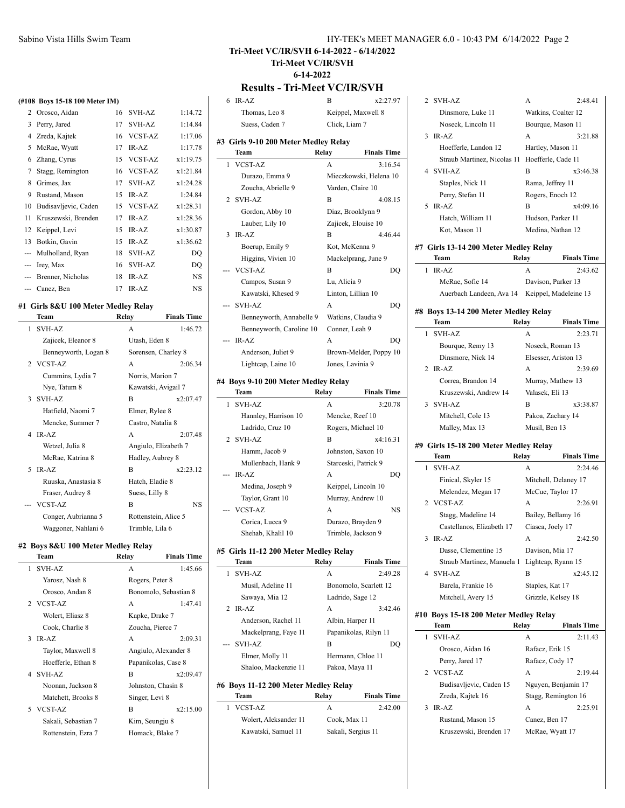|     | (#108 Boys 15-18 100 Meter IM) |    |                |           |
|-----|--------------------------------|----|----------------|-----------|
| 2   | Orosco, Aidan                  | 16 | SVH-AZ         | 1:14.72   |
| 3   | Perry, Jared                   | 17 | <b>SVH-AZ</b>  | 1:14.84   |
| 4   | Zreda, Kajtek                  | 16 | <b>VCST-AZ</b> | 1:17.06   |
| 5   | McRae, Wyatt                   | 17 | $IR-AZ$        | 1:17.78   |
| 6   | Zhang, Cyrus                   | 15 | VCST-AZ        | x1:19.75  |
| 7   | Stagg, Remington               | 16 | <b>VCST-AZ</b> | x1:21.84  |
| 8   | Grimes, Jax                    | 17 | SVH-AZ         | x1:24.28  |
| 9   | Rustand, Mason                 | 15 | $IR-AZ$        | 1:24.84   |
| 10  | Budisavljevic, Caden           | 15 | <b>VCST-AZ</b> | x1:28.31  |
| 11  | Kruszewski, Brenden            | 17 | IR-AZ          | x1:28.36  |
| 12  | Keippel, Levi                  | 15 | IR-AZ          | x1:30.87  |
| 13  | Botkin, Gavin                  | 15 | $IR-AZ$        | x1:36.62  |
| --- | Mulholland, Ryan               | 18 | <b>SVH-AZ</b>  | DO        |
| --- | Irey, Max                      | 16 | <b>SVH-AZ</b>  | DQ        |
| --- | Brenner, Nicholas              | 18 | IR-AZ          | <b>NS</b> |
|     | --- Canez, Ben                 | 17 | $IR-AZ$        | NS        |

#### **#1 Girls 8&U 100 Meter Medley Relay**

|   | Team                 | Relay                | <b>Finals Time</b> |
|---|----------------------|----------------------|--------------------|
| 1 | <b>SVH-AZ</b>        | A                    | 1:46.72            |
|   | Zajicek, Eleanor 8   | Utash, Eden 8        |                    |
|   | Benneyworth, Logan 8 | Sorensen, Charley 8  |                    |
|   | 2 VCST-AZ            | A                    | 2:06.34            |
|   | Cummins, Lydia 7     | Norris, Marion 7     |                    |
|   | Nye, Tatum 8         | Kawatski, Avigail 7  |                    |
| 3 | SVH-AZ               | B                    | x2:07.47           |
|   | Hatfield, Naomi 7    | Elmer, Rylee 8       |                    |
|   | Mencke, Summer 7     | Castro, Natalia 8    |                    |
|   | $4$ IR-AZ            | A                    | 2:07.48            |
|   | Wetzel, Julia 8      | Angiulo, Elizabeth 7 |                    |
|   | McRae, Katrina 8     | Hadley, Aubrey 8     |                    |
| 5 | $IR-AZ$              | B                    | x2:23.12           |
|   | Ruuska, Anastasia 8  | Hatch, Eladie 8      |                    |
|   | Fraser, Audrey 8     | Suess, Lilly 8       |                    |
|   | --- VCST-AZ          | B                    | NS                 |
|   | Conger, Aubrianna 5  | Rottenstein, Alice 5 |                    |
|   | Waggoner, Nahlani 6  | Trimble, Lila 6      |                    |

#### **#2 Boys 8&U 100 Meter Medley Relay**

|    | Team                | Relay           | <b>Finals Time</b>    |
|----|---------------------|-----------------|-----------------------|
| 1. | SVH-AZ              | A               | 1:45.66               |
|    | Yarosz, Nash 8      | Rogers, Peter 8 |                       |
|    | Orosco, Andan 8     |                 | Bonomolo, Sebastian 8 |
|    | 2 VCST-AZ           | A               | 1:47.41               |
|    | Wolert, Eliasz 8    | Kapke, Drake 7  |                       |
|    | Cook, Charlie 8     |                 | Zoucha, Pierce 7      |
| 3  | $IR-AZ$             | A               | 2:09.31               |
|    | Taylor, Maxwell 8   |                 | Angiulo, Alexander 8  |
|    | Hoefferle, Ethan 8  |                 | Papanikolas, Case 8   |
|    | 4 SVH-AZ            | B               | x2:09.47              |
|    | Noonan, Jackson 8   |                 | Johnston, Chasin 8    |
|    | Matchett, Brooks 8  | Singer, Levi 8  |                       |
|    | 5 VCST-AZ           | R               | x2:15.00              |
|    | Sakali, Sebastian 7 | Kim, Seungju 8  |                       |
|    | Rottenstein, Ezra 7 |                 | Homack, Blake 7       |
|    |                     |                 |                       |

| HY-TEK's MEET MANAGER 6.0 - 10:43 PM 6/14/2022 Page 2 |  |  |
|-------------------------------------------------------|--|--|
|-------------------------------------------------------|--|--|

**Tri-Meet VC/IR/SVH 6-14-2022 - 6/14/2022**

**Tri-Meet VC/IR/SVH 6-14-2022**

## **Results - Tri-Meet VC/IR/SVH**

| $IR-AZ$<br>6                                | B<br>x2:27.97               |
|---------------------------------------------|-----------------------------|
| Thomas, Leo 8                               | Keippel, Maxwell 8          |
| Suess, Caden 7                              | Click, Liam 7               |
| #3 Girls 9-10 200 Meter Medley Relay        |                             |
| Team                                        | Relay<br><b>Finals Time</b> |
| <b>VCST-AZ</b><br>1                         | A<br>3:16.54                |
| Durazo, Emma 9                              | Mieczkowski, Helena 10      |
| Zoucha, Abrielle 9                          | Varden, Claire 10           |
| SVH-AZ<br>2                                 | 4:08.15<br>В                |
| Gordon, Abby 10                             | Diaz, Brooklynn 9           |
| Lauber, Lily 10                             | Zajicek, Elouise 10         |
| $IR-AZ$<br>3                                | В<br>4:46.44                |
| Boerup, Emily 9                             | Kot, McKenna 9              |
| Higgins, Vivien 10                          | Mackelprang, June 9         |
| <b>VCST-AZ</b>                              | В<br>DQ                     |
| Campos, Susan 9                             | Lu, Alicia 9                |
| Kawatski, Khesed 9                          | Linton, Lillian 10          |
| SVH-AZ                                      | А<br>DO                     |
| Benneyworth, Annabelle 9                    | Watkins, Claudia 9          |
| Benneyworth, Caroline 10                    | Conner, Leah 9              |
| IR-AZ                                       | A<br>DO                     |
| Anderson, Juliet 9                          | Brown-Melder, Poppy 10      |
| Lightcap, Laine 10                          | Jones, Lavinia 9            |
|                                             |                             |
| #4 Boys 9-10 200 Meter Medley Relay<br>Team | Relay<br><b>Finals Time</b> |
| 1<br><b>SVH-AZ</b>                          | 3:20.78<br>A                |
| Hannley, Harrison 10                        | Mencke, Reef 10             |
| Ladrido, Cruz 10                            | Rogers, Michael 10          |
| <b>SVH-AZ</b><br>2                          | B<br>x4:16.31               |
| Hamm, Jacob 9                               | Johnston, Saxon 10          |
| Mullenbach, Hank 9                          | Starceski, Patrick 9        |
| IR-AZ                                       | A<br>DQ                     |
| Medina, Joseph 9                            | Keippel, Lincoln 10         |
| Taylor, Grant 10                            | Murray, Andrew 10           |
| <b>VCST-AZ</b>                              | A<br>NS                     |
| Corica, Lucca 9                             | Durazo, Brayden 9           |
| Shehab, Khalil 10                           | Trimble, Jackson 9          |
|                                             |                             |
| #5 Girls 11-12 200 Meter Medley Relay       |                             |
| Team                                        | Relay<br><b>Finals Time</b> |
| <b>SVH-AZ</b><br>1                          | 2:49.28<br>A                |
| Musil, Adeline 11                           | Bonomolo, Scarlett 12       |
| Sawaya, Mia 12                              | Ladrido, Sage 12            |
| IR-AZ<br>2                                  | A<br>3:42.46                |
| Anderson, Rachel 11                         | Albin, Harper 11            |
| Mackelprang, Faye 11                        | Papanikolas, Rilyn 11       |
| <b>SVH-AZ</b>                               | B<br>DO                     |
| Elmer, Molly 11                             | Hermann, Chloe 11           |
| Shaloo, Mackenzie 11                        | Pakoa, Maya 11              |

## **#6 Boys 11-12 200 Meter Medley Relay**

| Team                  | Relay              | <b>Finals Time</b> |
|-----------------------|--------------------|--------------------|
| 1 VCST-AZ             | A                  | 2:42.00            |
| Wolert, Aleksander 11 | Cook, Max 11       |                    |
| Kawatski, Samuel 11   | Sakali, Sergius 11 |                    |

|   | Dinsmore, Luke 11                              |                    | Watkins, Coalter 12  |
|---|------------------------------------------------|--------------------|----------------------|
|   | Noseck, Lincoln 11                             |                    | Bourque, Mason 11    |
| 3 | IR-AZ                                          | A                  | 3:21.88              |
|   | Hoefferle, Landon 12                           | Hartley, Mason 11  |                      |
|   | Straub Martinez, Nicolas 11                    | Hoefferle, Cade 11 |                      |
|   | 4 SVH-AZ                                       | B                  | x3:46.38             |
|   | Staples, Nick 11                               | Rama, Jeffrey 11   |                      |
|   | Perry, Stefan 11                               | Rogers, Enoch 12   |                      |
| 5 | IR-AZ                                          | B                  | x4:09.16             |
|   | Hatch, William 11                              | Hudson, Parker 11  |                      |
|   | Kot, Mason 11                                  |                    | Medina, Nathan 12    |
|   |                                                |                    |                      |
|   | #7 Girls 13-14 200 Meter Medley Relay          |                    |                      |
|   | Team                                           | Relay              | <b>Finals Time</b>   |
| 1 | IR-AZ                                          | A                  | 2:43.62              |
|   | McRae, Sofie 14                                |                    | Davison, Parker 13   |
|   | Auerbach Landeen, Ava 14 Keippel, Madeleine 13 |                    |                      |
|   | #8 Boys 13-14 200 Meter Medley Relay           |                    |                      |
|   | Team                                           | Relay              | <b>Finals Time</b>   |
| 1 | <b>SVH-AZ</b>                                  | А                  | 2:23.71              |
|   | Bourque, Remy 13                               |                    | Noseck, Roman 13     |
|   | Dinsmore, Nick 14                              |                    | Elsesser, Ariston 13 |
| 2 | IR-AZ                                          | A                  | 2:39.69              |
|   | Correa, Brandon 14                             |                    | Murray, Mathew 13    |
|   | Kruszewski, Andrew 14                          | Valasek, Eli 13    |                      |
| 3 | <b>SVH-AZ</b>                                  | B                  | x3:38.87             |
|   | Mitchell, Cole 13                              |                    | Pakoa, Zachary 14    |
|   | Malley, Max 13                                 | Musil, Ben 13      |                      |
|   |                                                |                    |                      |
|   | #9 Girls 15-18 200 Meter Medley Relay          |                    |                      |
|   | Team                                           | Relay              | <b>Finals Time</b>   |
| 1 | <b>SVH-AZ</b>                                  | A                  | 2:24.46              |
|   | Finical, Skyler 15                             |                    | Mitchell, Delaney 17 |
|   | Melendez, Megan 17                             | McCue, Taylor 17   |                      |
| 2 | <b>VCST-AZ</b>                                 | A                  | 2:26.91              |
|   | Stagg, Madeline 14                             |                    | Bailey, Bellamy 16   |
|   | Castellanos, Elizabeth 17                      | Ciasca, Joely 17   |                      |
| 3 | IR-AZ                                          | A                  | 2:42.50              |
|   | Dasse, Clementine 15                           | Davison, Mia 17    |                      |
|   | Straub Martinez, Manuela 1                     |                    | Lightcap, Ryann 15   |
| 4 | SVH-AZ                                         | В                  | x2:45.12             |
|   | Barela, Frankie 16                             | Staples, Kat 17    |                      |
|   | Mitchell, Avery 15                             |                    | Grizzle, Kelsey 18   |
|   | #10 Boys 15-18 200 Meter Medley Relay          |                    |                      |
|   | Team                                           | Relay              | <b>Finals Time</b>   |
| 1 | <b>SVH-AZ</b>                                  | A                  | 2:11.43              |
|   | Orosco, Aidan 16                               | Rafacz, Erik 15    |                      |
|   | Perry, Jared 17                                | Rafacz, Cody 17    |                      |
|   |                                                |                    |                      |

2 SVH-AZ A 2:48.41

|   | 2 VCST-AZ               | А                   | 2:19.44 |
|---|-------------------------|---------------------|---------|
|   | Budisavljevic, Caden 15 | Nguyen, Benjamin 17 |         |
|   | Zreda, Kajtek 16        | Stagg, Remington 16 |         |
| ζ | $IR-AZ$                 | А                   | 2:25.91 |
|   | Rustand, Mason 15       | Canez, Ben 17       |         |
|   | Kruszewski, Brenden 17  | McRae, Wyatt 17     |         |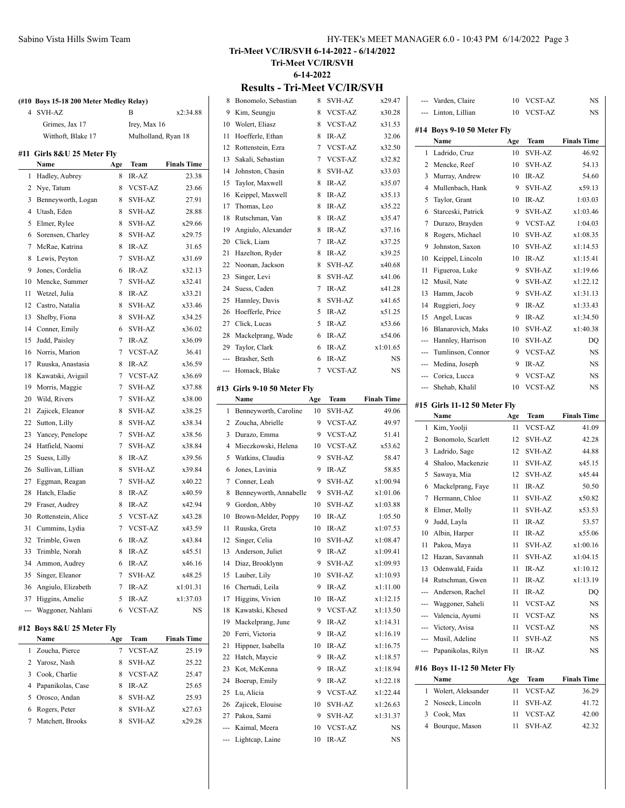| 4            | <b>SVH-AZ</b>          |     | B                   | x2:34.88           |
|--------------|------------------------|-----|---------------------|--------------------|
|              | Grimes, Jax 17         |     | Irey, Max 16        |                    |
|              | Witthoft, Blake 17     |     | Mulholland, Ryan 18 |                    |
| #11          | Girls 8&U 25 Meter Fly |     |                     |                    |
|              | Name                   | Age | Team                | <b>Finals Time</b> |
| $\mathbf{1}$ | Hadley, Aubrey         | 8   | IR-AZ               | 23.38              |
| 2            | Nye, Tatum             | 8   | VCST-AZ             | 23.66              |
| 3            | Benneyworth, Logan     | 8   | SVH-AZ              | 27.91              |
| 4            | Utash, Eden            | 8   | <b>SVH-AZ</b>       | 28.88              |
| 5            | Elmer, Rylee           | 8   | <b>SVH-AZ</b>       | x29.66             |
| 6            | Sorensen, Charley      | 8   | SVH-AZ              | x29.75             |
| 7            | McRae, Katrina         | 8   | IR-AZ               | 31.65              |
| 8            | Lewis, Peyton          | 7   | <b>SVH-AZ</b>       | x31.69             |
| 9            | Jones, Cordelia        | 6   | IR-AZ               | x32.13             |
| 10           | Mencke, Summer         | 7   | <b>SVH-AZ</b>       | x32.41             |
| 11           | Wetzel, Julia          | 8   | IR-AZ               | x33.21             |
| 12           | Castro, Natalia        | 8   | SVH-AZ              | x33.46             |
| 13           | Shelby, Fiona          | 8   | SVH-AZ              | x34.25             |
| 14           | Conner, Emily          | 6   | SVH-AZ              | x36.02             |
| 15           | Judd, Paisley          | 7   | IR-AZ               | x36.09             |
| 16           | Norris, Marion         | 7   | <b>VCST-AZ</b>      | 36.41              |
| 17           | Ruuska, Anastasia      | 8   | IR-AZ               | x36.59             |
| 18           | Kawatski, Avigail      | 7   | <b>VCST-AZ</b>      | x36.69             |
| 19           | Morris, Maggie         | 7   | SVH-AZ              | x37.88             |
| 20           | Wild, Rivers           | 7   | <b>SVH-AZ</b>       | x38.00             |
| 21           | Zajicek, Eleanor       | 8   | SVH-AZ              | x38.25             |
| 22           | Sutton, Lilly          | 8   | <b>SVH-AZ</b>       | x38.34             |
| 23           | Yancey, Penelope       | 7   | SVH-AZ              | x38.56             |
| 24           | Hatfield, Naomi        | 7   | SVH-AZ              | x38.84             |
| 25           | Suess, Lilly           | 8   | IR-AZ               | x39.56             |
| 26           | Sullivan, Lillian      | 8   | SVH-AZ              | x39.84             |
| 27           | Eggman, Reagan         | 7   | <b>SVH-AZ</b>       | x40.22             |
| 28           | Hatch, Eladie          | 8   | IR-AZ               | x40.59             |
| 29           | Fraser, Audrey         | 8   | IR-AZ               | x42.94             |
| 30           | Rottenstein, Alice     | 5   | <b>VCST-AZ</b>      | x43.28             |
| 31           | Cummins, Lydia         | 7   | <b>VCST-AZ</b>      | x43.59             |
| 32           | Trimble, Gwen          | 6   | IR-AZ               | x43.84             |
| 33           | Trimble, Norah         | 8   | IR-AZ               | x45.51             |
| 34           | Ammon, Audrey          | 6   | IR-AZ               | x46.16             |
| 35           | Singer, Eleanor        | 7   | SVH-AZ              | x48.25             |
| 36           | Angiulo, Elizabeth     | 7   | IR-AZ               | x1:01.31           |
| 37           | Higgins, Amelie        | 5   | IR-AZ               | x1:37.03           |
| ---          | Waggoner, Nahlani      | 6   | VCST-AZ             | NS                 |
| #12          | Boys 8&U 25 Meter Fly  |     |                     |                    |
|              | Name                   | Age | Team                | <b>Finals Time</b> |

|    | Name                | Age | <b>Team</b>    | <b>Finals Time</b> |
|----|---------------------|-----|----------------|--------------------|
|    | 1 Zoucha, Pierce    |     | <b>VCST-AZ</b> | 25.19              |
|    | 2 Yarosz, Nash      | 8   | SVH-AZ         | 25.22              |
| 3  | Cook, Charlie       | 8   | <b>VCST-AZ</b> | 25.47              |
|    | 4 Papanikolas, Case | 8   | $IR-AZ$        | 25.65              |
| 5. | Orosco, Andan       | 8   | SVH-AZ         | 25.93              |
|    | Rogers, Peter       | 8   | SVH-AZ         | x27.63             |
|    | 7 Matchett, Brooks  | 8   | SVH-AZ         | x29.28             |
|    |                     |     |                |                    |

### **Tri-Meet VC/IR/SVH 6-14-2022 - 6/14/2022 Tri-Meet VC/IR/SVH 6-14-2022**

#### **Results - Tri-Meet VC/IR/SVH**

|     | 8 Bonomolo, Sebastian       | 8   | SVH-AZ         | x29.47             | ---                      | Varden, Claire                      | 10  | <b>VCST-AZ</b>  | <b>NS</b>          |
|-----|-----------------------------|-----|----------------|--------------------|--------------------------|-------------------------------------|-----|-----------------|--------------------|
| 9   | Kim, Seungju                | 8   | <b>VCST-AZ</b> | x30.28             | $\cdots$                 | Linton, Lillian                     | 10  | <b>VCST-AZ</b>  | NS                 |
| 10  | Wolert, Eliasz              | 8   | VCST-AZ        | x31.53             |                          |                                     |     |                 |                    |
| 11  | Hoefferle, Ethan            | 8   | IR-AZ          | 32.06              |                          | #14 Boys 9-10 50 Meter Fly<br>Name  | Age | Team            | <b>Finals Time</b> |
| 12  | Rottenstein, Ezra           | 7   | <b>VCST-AZ</b> | x32.50             |                          | 1 Ladrido, Cruz                     | 10  | <b>SVH-AZ</b>   | 46.92              |
| 13  | Sakali, Sebastian           | 7   | VCST-AZ        | x32.82             | $\mathbf{2}$             | Mencke, Reef                        | 10  | <b>SVH-AZ</b>   | 54.13              |
| 14  | Johnston, Chasin            | 8   | <b>SVH-AZ</b>  | x33.03             | 3                        | Murray, Andrew                      | 10  | IR-AZ           | 54.60              |
| 15  | Taylor, Maxwell             | 8   | IR-AZ          | x35.07             | 4                        | Mullenbach, Hank                    | 9   | <b>SVH-AZ</b>   | x59.13             |
| 16  | Keippel, Maxwell            | 8   | IR-AZ          | x35.13             |                          | Taylor, Grant                       | 10  | IR-AZ           | 1:03.03            |
| 17  | Thomas, Leo                 | 8   | IR-AZ          | x35.22             | 5                        |                                     | 9   | <b>SVH-AZ</b>   | x1:03.46           |
| 18  | Rutschman, Van              | 8   | IR-AZ          | x35.47             | 6                        | Starceski, Patrick                  | 9   | <b>VCST-AZ</b>  | 1:04.03            |
| 19  | Angiulo, Alexander          | 8   | IR-AZ          | x37.16             | 7                        | Durazo, Brayden                     |     |                 |                    |
| 20  | Click, Liam                 | 7   | IR-AZ          | x37.25             | 8                        | Rogers, Michael                     | 10  | <b>SVH-AZ</b>   | x1:08.35           |
| 21  | Hazelton, Ryder             | 8   | IR-AZ          | x39.25             | 9                        | Johnston, Saxon                     | 10  | SVH-AZ          | x1:14.53           |
| 22  | Noonan, Jackson             | 8   | SVH-AZ         | x40.68             | 10                       | Keippel, Lincoln                    | 10  | IR-AZ           | x1:15.41           |
| 23  | Singer, Levi                | 8   | <b>SVH-AZ</b>  | x41.06             | 11                       | Figueroa, Luke                      | 9   | <b>SVH-AZ</b>   | x1:19.66           |
| 24  | Suess, Caden                | 7   | IR-AZ          | x41.28             | 12                       | Musil, Nate                         | 9   | SVH-AZ          | x1:22.12           |
| 25  | Hannley, Davis              | 8   | <b>SVH-AZ</b>  | x41.65             | 13                       | Hamm, Jacob                         | 9   | <b>SVH-AZ</b>   | x1:31.13           |
| 26  | Hoefferle, Price            | 5   | IR-AZ          | x51.25             | 14                       | Ruggieri, Joey                      | 9   | IR-AZ           | x1:33.43           |
| 27  | Click, Lucas                | 5   | IR-AZ          | x53.66             | 15                       | Angel, Lucas                        | 9   | IR-AZ           | x1:34.50           |
| 28  | Mackelprang, Wade           | 6   | IR-AZ          | x54.06             | 16                       | Blanarovich, Maks                   | 10  | <b>SVH-AZ</b>   | x1:40.38           |
| 29  | Taylor, Clark               | 6   | IR-AZ          | x1:01.65           | ---                      | Hannley, Harrison                   | 10  | <b>SVH-AZ</b>   | DQ                 |
|     | Brasher, Seth               | 6   | IR-AZ          | NS.                | ---                      | Tumlinson, Connor                   | 9   | <b>VCST-AZ</b>  | NS                 |
| --- | Homack, Blake               | 7   | <b>VCST-AZ</b> | NS                 | ---                      | Medina, Joseph                      | 9   | IR-AZ           | NS                 |
|     |                             |     |                |                    | ---                      | Corica, Lucca                       | 9   | <b>VCST-AZ</b>  | NS                 |
|     | #13 Girls 9-10 50 Meter Fly |     |                |                    | $\overline{\phantom{a}}$ | Shehab, Khalil                      | 10  | VCST-AZ         | NS                 |
|     | Name                        | Age | Team           | <b>Finals Time</b> |                          | #15 Girls 11-12 50 Meter Fly        |     |                 |                    |
|     | 1 Benneyworth, Caroline     | 10  | <b>SVH-AZ</b>  | 49.06              |                          | Name                                | Age | Team            | <b>Finals Time</b> |
|     | 2 Zoucha, Abrielle          | 9   | <b>VCST-AZ</b> | 49.97              |                          | 1 Kim, Yoolji                       | 11  | <b>VCST-AZ</b>  | 41.09              |
|     |                             |     |                |                    |                          |                                     |     |                 |                    |
|     | 3 Durazo, Emma              | 9   | <b>VCST-AZ</b> | 51.41              | $\overline{2}$           | Bonomolo, Scarlett                  | 12  | SVH-AZ          | 42.28              |
| 4   | Mieczkowski, Helena         | 10  | <b>VCST-AZ</b> | x53.62             | 3                        | Ladrido, Sage                       | 12  | SVH-AZ          | 44.88              |
| 5   | Watkins, Claudia            | 9   | SVH-AZ         | 58.47              | 4                        | Shaloo, Mackenzie                   | 11  | <b>SVH-AZ</b>   | x45.15             |
| 6   | Jones, Lavinia              | 9   | IR-AZ          | 58.85              | 5                        | Sawaya, Mia                         | 12  | SVH-AZ          | x45.44             |
| 7   | Conner, Leah                | 9   | <b>SVH-AZ</b>  | x1:00.94           | 6                        |                                     | 11  | IR-AZ           | 50.50              |
| 8   | Benneyworth, Annabelle      | 9   | <b>SVH-AZ</b>  | x1:01.06           |                          | Mackelprang, Faye<br>Hermann, Chloe | 11  | SVH-AZ          | x50.82             |
| 9   | Gordon, Abby                | 10  | <b>SVH-AZ</b>  | x1:03.88           | 7                        |                                     | 11  |                 |                    |
| 10  | Brown-Melder, Poppy         | 10  | IR-AZ          | 1:05.50            | 8                        | Elmer, Molly                        | 11  | SVH-AZ<br>IR-AZ | x53.53             |
| 11  | Ruuska, Greta               | 10  | IR-AZ          | x1:07.53           | 9                        | Judd, Layla                         |     | IR-AZ           | 53.57              |
|     | 12 Singer, Celia            | 10  | <b>SVH-AZ</b>  | x1:08.47           | 10                       | Albin, Harper                       | 11  |                 | x55.06             |
|     | 13 Anderson, Juliet         | 9   | IR-AZ          | x1:09.41           | 11                       | Pakoa, Maya                         | 11  | SVH-AZ          | x1:00.16           |
|     | 14 Diaz, Brooklynn          | 9   | SVH-AZ         | x1:09.93           |                          | 12 Hazan, Savannah                  | 11  | SVH-AZ          | x1:04.15           |
|     | 15 Lauber, Lily             | 10  | SVH-AZ         | x1:10.93           | 13                       | Odenwald, Faida                     | 11  | IR-AZ           | x1:10.12           |
| 16  | Chertudi, Leila             | 9   | IR-AZ          | x1:11.00           | 14                       | Rutschman, Gwen                     | 11  | IR-AZ           | x1:13.19           |
| 17  | Higgins, Vivien             | 10  | IR-AZ          | x1:12.15           |                          | Anderson, Rachel                    | 11  | IR-AZ           | DQ                 |
|     | 18 Kawatski, Khesed         | 9   | VCST-AZ        | x1:13.50           | ---                      | Waggoner, Saheli                    | 11  | VCST-AZ         | NS                 |
| 19  | Mackelprang, June           | 9   | IR-AZ          | x1:14.31           | ---                      | Valencia, Ayumi                     | 11  | VCST-AZ         | NS                 |
| 20  | Ferri, Victoria             | 9   | IR-AZ          | x1:16.19           | ---                      | Victory, Avisa                      | 11  | VCST-AZ         | NS                 |
| 21  | Hippner, Isabella           | 10  | IR-AZ          | x1:16.75           | ---                      | Musil, Adeline                      | 11  | SVH-AZ          | NS                 |
| 22  | Hatch, Maycie               | 9   | IR-AZ          | x1:18.57           | ---                      | Papanikolas, Rilyn                  | 11  | IR-AZ           | NS                 |
| 23  | Kot, McKenna                | 9   | IR-AZ          | x1:18.94           |                          | #16 Boys 11-12 50 Meter Fly         |     |                 |                    |
| 24  | Boerup, Emily               | 9   | IR-AZ          | x1:22.18           |                          | Name                                | Age | Team            | <b>Finals Time</b> |
| 25  | Lu, Alicia                  | 9   | VCST-AZ        | x1:22.44           | $\mathbf{1}$             | Wolert, Aleksander                  | 11  | VCST-AZ         | 36.29              |
| 26  | Zajicek, Elouise            | 10  | SVH-AZ         | x1:26.63           | $\overline{2}$           | Noseck, Lincoln                     | 11  | SVH-AZ          | 41.72              |
| 27  | Pakoa, Sami                 | 9   | SVH-AZ         | x1:31.37           | 3                        | Cook, Max                           | 11  | VCST-AZ         | 42.00              |
|     | Kaimal, Meera               | 10  | VCST-AZ        | NS                 | 4                        | Bourque, Mason                      | 11  | SVH-AZ          | 42.32              |
|     | Lightcap, Laine             | 10  | IR-AZ          | NS                 |                          |                                     |     |                 |                    |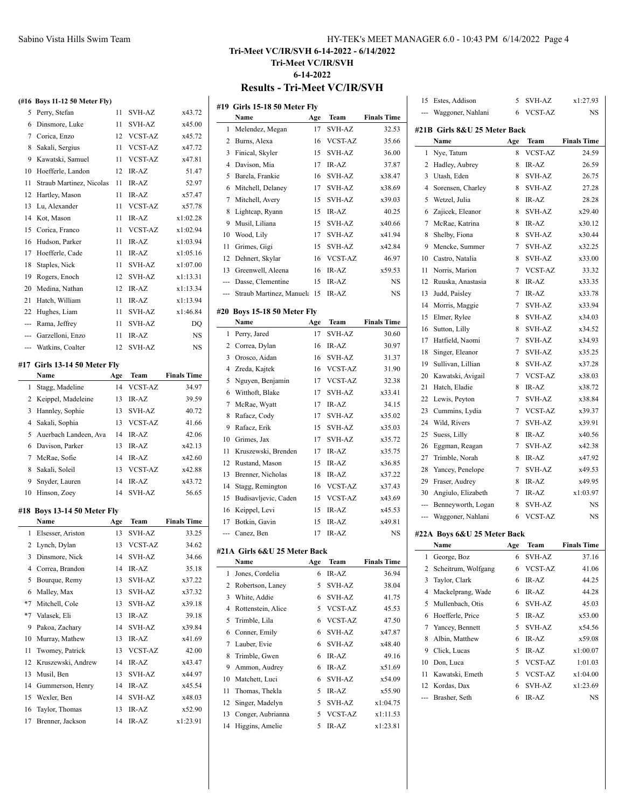| HY-TEK's MEET MANAGER 6.0 - 10:43 PM 6/14/2022 Page 4 |  |  |  |
|-------------------------------------------------------|--|--|--|
|-------------------------------------------------------|--|--|--|

## **Tri-Meet VC/IR/SVH 6-14-2022 - 6/14/2022 Tri-Meet VC/IR/SVH 6-14-2022 Results - Tri-Meet VC/IR/SVH**

**(#16 Boys 11-12 50 Meter Fly)** Perry, Stefan 11 SVH-AZ x43.72 Dinsmore, Luke 11 SVH-AZ x45.00 Corica, Enzo 12 VCST-AZ x45.72 8 Sakali, Sergius 11 VCST-AZ x47.72 Kawatski, Samuel 11 VCST-AZ x47.81 Hoefferle, Landon 12 IR-AZ 51.47 11 Straub Martinez, Nicolas 11 IR-AZ 52.97 Hartley, Mason 11 IR-AZ x57.47 Lu, Alexander 11 VCST-AZ x57.78 Kot, Mason 11 IR-AZ x1:02.28 Corica, Franco 11 VCST-AZ x1:02.94 Hudson, Parker 11 IR-AZ x1:03.94 Hoefferle, Cade 11 IR-AZ x1:05.16 Staples, Nick 11 SVH-AZ x1:07.00 Rogers, Enoch 12 SVH-AZ x1:13.31 Medina, Nathan 12 IR-AZ x1:13.34 21 Hatch, William 11 IR-AZ x1:13.94 Hughes, Liam 11 SVH-AZ x1:46.84 --- Rama, Jeffrey 11 SVH-AZ DQ --- Garzelloni, Enzo 11 IR-AZ NS --- Watkins, Coalter 12 SVH-AZ NS **#17 Girls 13-14 50 Meter Fly Name Age Team Finals Time** Stagg, Madeline 14 VCST-AZ 34.97 2 Keippel, Madeleine 13 IR-AZ 39.59 3 Hannley, Sophie 13 SVH-AZ 40.72 Sakali, Sophia 13 VCST-AZ 41.66 Auerbach Landeen, Ava 14 IR-AZ 42.06 Davison, Parker 13 IR-AZ x42.13 McRae, Sofie 14 IR-AZ x42.60 8 Sakali, Soleil 13 VCST-AZ x42.88 Snyder, Lauren 14 IR-AZ x43.72 Hinson, Zoey 14 SVH-AZ 56.65 **#18 Boys 13-14 50 Meter Fly Name Age Team Finals Time** Elsesser, Ariston 13 SVH-AZ 33.25 Lynch, Dylan 13 VCST-AZ 34.62 Dinsmore, Nick 14 SVH-AZ 34.66 Correa, Brandon 14 IR-AZ 35.18 Bourque, Remy 13 SVH-AZ x37.22 Malley, Max 13 SVH-AZ x37.32 \*7 Mitchell, Cole 13 SVH-AZ x39.18 \*7 Valasek, Eli 13 IR-AZ 39.18 Pakoa, Zachary 14 SVH-AZ x39.84 10 Murray, Mathew 13 IR-AZ  $x41.69$ 11 Twomey, Patrick 13 VCST-AZ 42.00 12 Kruszewski, Andrew 14 IR-AZ x43.47 13 Musil, Ben 13 SVH-AZ x44.97 14 Gummerson, Henry 14 IR-AZ x45.54 Wexler, Ben 14 SVH-AZ x48.03 Taylor, Thomas 13 IR-AZ x52.90 Brenner, Jackson 14 IR-AZ x1:23.91

|                | #19 Girls 15-18 50 Meter Fly |     |                |                    |
|----------------|------------------------------|-----|----------------|--------------------|
|                | Name                         | Age | Team           | <b>Finals Time</b> |
| 1              | Melendez, Megan              | 17  | <b>SVH-AZ</b>  | 32.53              |
| 2              | Burns, Alexa                 | 16  | VCST-AZ        | 35.66              |
| 3              | Finical, Skyler              | 15  | <b>SVH-AZ</b>  | 36.00              |
| $\overline{4}$ | Davison, Mia                 | 17  | IR-AZ          | 37.87              |
| 5              | Barela, Frankie              | 16  | <b>SVH-AZ</b>  | x38.47             |
| 6              | Mitchell, Delaney            | 17  | <b>SVH-AZ</b>  | x38.69             |
| 7              | Mitchell, Avery              | 15  | <b>SVH-AZ</b>  | x39.03             |
| 8              | Lightcap, Ryann              | 15  | IR-AZ          | 40.25              |
| 9              | Musil, Liliana               | 15  | <b>SVH-AZ</b>  | x40.66             |
| 10             | Wood, Lily                   | 17  | <b>SVH-AZ</b>  | x41.94             |
| 11             | Grimes, Gigi                 | 15  | <b>SVH-AZ</b>  | x42.84             |
| 12             | Dehnert, Skylar              | 16  | <b>VCST-AZ</b> | 46.97              |
| 13             | Greenwell, Aleena            | 16  | IR-AZ          | x59.53             |
| ---            | Dasse, Clementine            | 15  | IR-AZ          | NS                 |
| ---            | Straub Martinez, Manuela 15  |     | IR-AZ          | NS                 |
|                | #20 Boys 15-18 50 Meter Fly  |     |                |                    |
|                | Name                         | Age | Team           | <b>Finals Time</b> |
| 1              | Perry, Jared                 | 17  | <b>SVH-AZ</b>  | 30.60              |
| 2              | Correa, Dylan                | 16  | IR-AZ          | 30.97              |
| 3              | Orosco, Aidan                | 16  | SVH-AZ         | 31.37              |
| 4              | Zreda, Kajtek                | 16  | <b>VCST-AZ</b> | 31.90              |
| 5              | Nguyen, Benjamin             | 17  | <b>VCST-AZ</b> | 32.38              |
|                |                              | 17  | <b>SVH-AZ</b>  | x33.41             |
| 6              | Witthoft, Blake              |     | IR-AZ          | 34.15              |
| 7              | McRae, Wyatt                 | 17  |                |                    |
| 8              | Rafacz, Cody                 | 17  | <b>SVH-AZ</b>  | x35.02             |
| 9              | Rafacz, Erik                 | 15  | SVH-AZ         | x35.03             |
| 10             | Grimes, Jax                  | 17  | <b>SVH-AZ</b>  | x35.72             |
| 11             | Kruszewski, Brenden          | 17  | IR-AZ          | x35.75             |
| 12             | Rustand, Mason               | 15  | IR-AZ          | x36.85             |
| 13             | Brenner, Nicholas            | 18  | IR-AZ          | x37.22             |
| 14             | Stagg, Remington             | 16  | <b>VCST-AZ</b> | x37.43             |
| 15             | Budisavljevic, Caden         | 15  | <b>VCST-AZ</b> | x43.69             |
| 16             | Keippel, Levi                | 15  | IR-AZ          | x45.53             |
| 17             | Botkin, Gavin                | 15  | IR-AZ          | x49.81             |
| ---            | Canez, Ben                   | 17  | $IR-AZ$        | NS                 |
|                | #21A Girls 6&U 25 Meter Back |     |                |                    |
|                | Name                         | Age | Team           | <b>Finals Time</b> |
| 1              | Jones, Cordelia              | 6   | IR-AZ          | 36.94              |
| 2              | Robertson, Laney             | 5   | SVH-AZ         | 38.04              |
| 3              | White, Addie                 | 6   | SVH-AZ         | 41.75              |
| 4              | Rottenstein, Alice           | 5   | <b>VCST-AZ</b> | 45.53              |
| 5              | Trimble, Lila                | 6   | <b>VCST-AZ</b> | 47.50              |
| 6              | Conner, Emily                | 6   | SVH-AZ         | x47.87             |
| 7              | Lauber, Evie                 | 6   | SVH-AZ         | x48.40             |
| 8              | Trimble, Gwen                | 6   | $IR-AZ$        | 49.16              |
| 9              | Ammon, Audrey                | 6   | IR-AZ          | x51.69             |
| 10             | Matchett, Luci               | 6   | <b>SVH-AZ</b>  | x54.09             |
| 11             | Thomas, Thekla               | 5   | IR-AZ          | x55.90             |
| 12             | Singer, Madelyn              | 5   | SVH-AZ         | x1:04.75           |
| 13             | Conger, Aubrianna            | 5   | VCST-AZ        | x1:11.53           |
| 14             | Higgins, Amelie              | 5   | IR-AZ          | x1:23.81           |

|                              | Waggoner, Nahlani           | 6              | <b>VCST-AZ</b> | NS                 |  |  |
|------------------------------|-----------------------------|----------------|----------------|--------------------|--|--|
| #21B Girls 8&U 25 Meter Back |                             |                |                |                    |  |  |
|                              | Name                        | Age            | Team           | <b>Finals Time</b> |  |  |
| 1                            | Nye, Tatum                  | 8              | VCST-AZ        | 24.59              |  |  |
| $\overline{c}$               | Hadley, Aubrey              | 8              | IR-AZ          | 26.59              |  |  |
| 3                            | Utash, Eden                 | 8              | <b>SVH-AZ</b>  | 26.75              |  |  |
| $\overline{4}$               | Sorensen, Charley           | 8              | <b>SVH-AZ</b>  | 27.28              |  |  |
| 5                            | Wetzel, Julia               | 8              | IR-AZ          | 28.28              |  |  |
| 6                            | Zajicek, Eleanor            | 8              | <b>SVH-AZ</b>  | x29.40             |  |  |
| $\overline{7}$               | McRae, Katrina              | 8              | IR-AZ          | x30.12             |  |  |
| 8                            | Shelby, Fiona               | 8              | <b>SVH-AZ</b>  | x30.44             |  |  |
| 9                            | Mencke, Summer              | 7              | <b>SVH-AZ</b>  | x32.25             |  |  |
| 10                           | Castro, Natalia             | 8              | SVH-AZ         | x33.00             |  |  |
| 11                           | Norris, Marion              | 7              | <b>VCST-AZ</b> | 33.32              |  |  |
| 12                           | Ruuska, Anastasia           | 8              | IR-AZ          | x33.35             |  |  |
| 13                           | Judd, Paisley               | 7              | IR-AZ          | x33.78             |  |  |
| 14                           | Morris, Maggie              | $\overline{7}$ | <b>SVH-AZ</b>  | x33.94             |  |  |
| 15                           | Elmer, Rylee                | 8              | SVH-AZ         | x34.03             |  |  |
| 16                           | Sutton, Lilly               | 8              | <b>SVH-AZ</b>  | x34.52             |  |  |
| 17                           | Hatfield, Naomi             | $\overline{7}$ | <b>SVH-AZ</b>  | x34.93             |  |  |
| 18                           | Singer, Eleanor             | 7              | <b>SVH-AZ</b>  | x35.25             |  |  |
| 19                           | Sullivan, Lillian           | 8              | SVH-AZ         | x37.28             |  |  |
| 20                           | Kawatski, Avigail           | 7              | <b>VCST-AZ</b> | x38.03             |  |  |
| 21                           | Hatch, Eladie               | 8              | IR-AZ          | x38.72             |  |  |
| 22                           | Lewis, Peyton               | 7              | SVH-AZ         | x38.84             |  |  |
| 23                           | Cummins, Lydia              | 7              | <b>VCST-AZ</b> | x39.37             |  |  |
| 24                           | Wild, Rivers                | $\overline{7}$ | SVH-AZ         | x39.91             |  |  |
| 25                           | Suess, Lilly                | 8              | IR-AZ          | x40.56             |  |  |
| 26                           | Eggman, Reagan              | 7              | <b>SVH-AZ</b>  | x42.38             |  |  |
| 27                           | Trimble, Norah              | 8              | IR-AZ          | x47.92             |  |  |
| 28                           | Yancey, Penelope            | 7              | SVH-AZ         | x49.53             |  |  |
| 29                           | Fraser, Audrey              | 8              | IR-AZ          | x49.95             |  |  |
| 30                           | Angiulo, Elizabeth          | $\overline{7}$ | IR-AZ          | x1:03.97           |  |  |
| ---                          | Benneyworth, Logan          | 8              | SVH-AZ         | NS                 |  |  |
| ---                          | Waggoner, Nahlani           | 6              | <b>VCST-AZ</b> | <b>NS</b>          |  |  |
|                              | #22A Boys 6&U 25 Meter Back |                |                |                    |  |  |
|                              | Name                        | Age            | Team           | <b>Finals Time</b> |  |  |
| 1                            | George, Boz                 | 6              | <b>SVH-AZ</b>  | 37.16              |  |  |
| 2                            | Scheitrum, Wolfgang         | 6              | <b>VCST-AZ</b> | 41.06              |  |  |
| 3                            | Taylor, Clark               | 6              | IR-AZ          | 44.25              |  |  |
| 4                            | Mackelprang, Wade           | 6              | IR-AZ          | 44.28              |  |  |
|                              |                             |                | $-1$           | $\sim$             |  |  |

Estes, Addison 5 SVH-AZ x1:27.93

| 2 Scheitrum, Wolfgang |    | 6 VCST-AZ | 41.06    |
|-----------------------|----|-----------|----------|
| 3 Taylor, Clark       | 6  | $IR-AZ$   | 44.25    |
| 4 Mackelprang, Wade   |    | $6$ IR-AZ | 44.28    |
| 5 Mullenbach, Otis    | 6  | SVH-AZ    | 45.03    |
| 6 Hoefferle, Price    |    | $5$ IR-AZ | x53.00   |
| 7 Yancey, Bennett     |    | 5 SVH-AZ  | x54.56   |
| 8 Albin, Matthew      |    | $6$ IR-AZ | x59.08   |
| 9 Click, Lucas        | 5. | IR-AZ     | x1:00.07 |
| 10 Don, Luca          |    | 5 VCST-AZ | 1:01.03  |
| 11 Kawatski, Emeth    |    | 5 VCST-AZ | x1:04.00 |
| 12 Kordas, Dax        | 6  | SVH-AZ    | x1:23.69 |
| --- Brasher, Seth     | 6  | IR-AZ     | NS       |